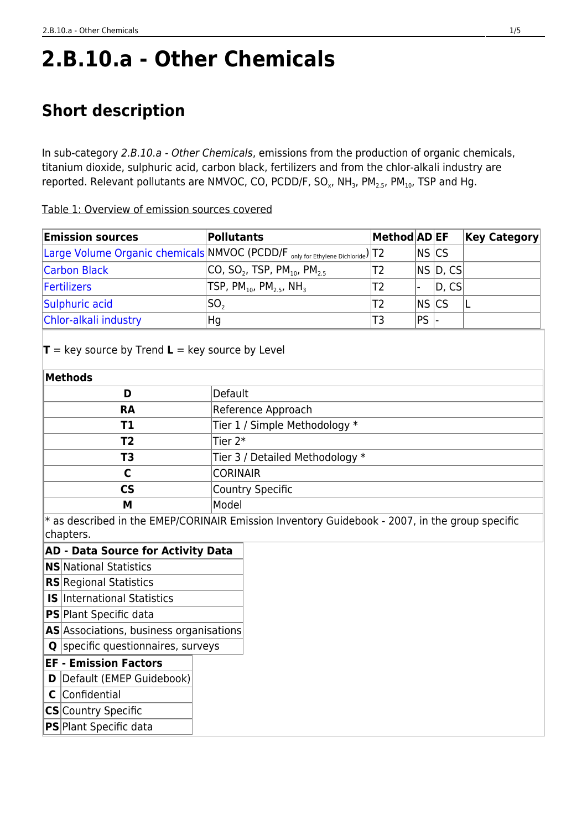# **2.B.10.a - Other Chemicals**

# **Short description**

In sub-category 2.B.10.a - Other Chemicals, emissions from the production of organic chemicals, titanium dioxide, sulphuric acid, carbon black, fertilizers and from the chlor-alkali industry are reported. Relevant pollutants are NMVOC, CO, PCDD/F, SO<sub>x</sub>, NH<sub>3</sub>, PM<sub>2.5</sub>, PM<sub>10</sub>, TSP and Hg.

Table 1: Overview of emission sources covered

| <b>Emission sources</b> | Pollutants                                                                                 | Method AD EF |                |          | <b>Key Category</b> |
|-------------------------|--------------------------------------------------------------------------------------------|--------------|----------------|----------|---------------------|
|                         | Large Volume Organic chemicals NMVOC (PCDD/F <sub>only for Ethylene Dichloride</sub> )  T2 |              | <b>NS CS</b>   |          |                     |
| <b>Carbon Black</b>     | $ CO, SO_2, TSP, PM_{10}, PM_{25} $                                                        | Т2           |                | NS D, CS |                     |
| Fertilizers             | $TSP, PM_{10}$ , $PM_{2.5}$ , NH <sub>3</sub>                                              | Т2           |                | D, CS    |                     |
| Sulphuric acid          | SO <sub>2</sub>                                                                            | Τ2           | <b>INS ICS</b> |          |                     |
| Chlor-alkali industry   | Hg                                                                                         | T3           | PS.            |          |                     |

 $T = \text{key}$  source by Trend  $L = \text{key}$  source by Level

| Methods   |                                 |
|-----------|---------------------------------|
| D         | Default                         |
| <b>RA</b> | Reference Approach              |
| Τ1        | Tier 1 / Simple Methodology *   |
| T2        | Tier 2 $*$                      |
| ТЗ        | Tier 3 / Detailed Methodology * |
|           | <b>CORINAIR</b>                 |
| <b>CS</b> | Country Specific                |
| M         | Model                           |

 $*$  as described in the EMEP/CORINAIR Emission Inventory Guidebook - 2007, in the group specific chapters.

|   | chapters.                                 |  |
|---|-------------------------------------------|--|
|   | <b>AD - Data Source for Activity Data</b> |  |
|   | <b>NS</b> National Statistics             |  |
|   | <b>RS</b> Regional Statistics             |  |
|   | <b>IS</b> International Statistics        |  |
|   | <b>PS</b> Plant Specific data             |  |
|   | AS Associations, business organisations   |  |
| Q | specific questionnaires, surveys          |  |
|   | <b>EF - Emission Factors</b>              |  |
| D | Default (EMEP Guidebook)                  |  |
|   | C Confidential                            |  |
|   | CSICountry Spacific                       |  |

- **CS** Country Specific
- **PS** Plant Specific data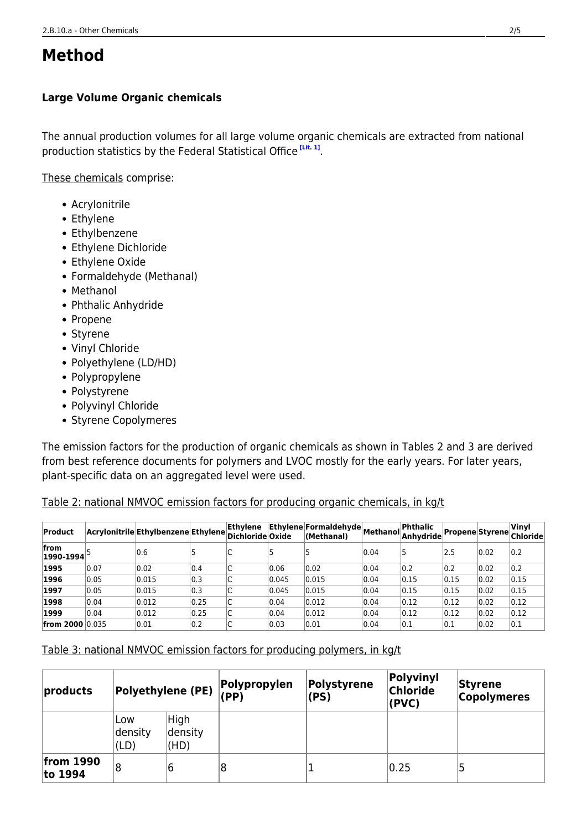# **Method**

#### <span id="page-1-0"></span>**Large Volume Organic chemicals**

The annual production volumes for all large volume organic chemicals are extracted from national production statistics by the Federal Statistical Office **[\[Lit. 1\]](#page-4-0)** .

These chemicals comprise:

- Acrylonitrile
- Ethylene
- Ethylbenzene
- Ethylene Dichloride
- Ethylene Oxide
- Formaldehyde (Methanal)
- Methanol
- Phthalic Anhydride
- Propene
- Styrene
- Vinyl Chloride
- Polyethylene (LD/HD)
- Polypropylene
- Polystyrene
- Polyvinyl Chloride
- Styrene Copolymeres

The emission factors for the production of organic chemicals as shown in Tables 2 and 3 are derived from best reference documents for polymers and LVOC mostly for the early years. For later years, plant-specific data on an aggregated level were used.

#### Table 2: national NMVOC emission factors for producing organic chemicals, in kg/t

| Product                 |      | Acrylonitrile Ethylbenzene Ethylene Dichloride Oxide |      | Ethylene |       | Ethylene Formaldehyde Methanol P<br>(Methanal) |      | Phthalic<br> Anhvdride |      |      | Vinyl<br>Propene Styrene Chloride |
|-------------------------|------|------------------------------------------------------|------|----------|-------|------------------------------------------------|------|------------------------|------|------|-----------------------------------|
| from<br>$ 1990 - 1994 $ |      | 0.6                                                  |      |          |       |                                                | 0.04 | 15                     | 2.5  | 0.02 | 0.2                               |
| 1995                    | 0.07 | 0.02                                                 | 0.4  |          | 0.06  | 0.02                                           | 0.04 | 0.2                    | 0.2  | 0.02 | 0.2                               |
| 1996                    | 0.05 | 0.015                                                | 0.3  |          | 0.045 | 0.015                                          | 0.04 | 0.15                   | 0.15 | 0.02 | 0.15                              |
| 1997                    | 0.05 | 0.015                                                | 0.3  | ∽        | 0.045 | 0.015                                          | 0.04 | 0.15                   | 0.15 | 0.02 | 0.15                              |
| 1998                    | 0.04 | 0.012                                                | 0.25 | ∽<br>◡   | 0.04  | 0.012                                          | 0.04 | 0.12                   | 0.12 | 0.02 | 0.12                              |
| 1999                    | 0.04 | 0.012                                                | 0.25 | ∽<br>◡   | 0.04  | 0.012                                          | 0.04 | 0.12                   | 0.12 | 0.02 | 0.12                              |
| <b>from 2000 0.035</b>  |      | 0.01                                                 | 0.2  | ◡        | 0.03  | 0.01                                           | 0.04 | 0.1                    | 0.1  | 0.02 | 0.1                               |

Table 3: national NMVOC emission factors for producing polymers, in kg/t

| products               | Polyethylene (PE)      |                         |   |  | Polypropylen<br>(PP) | Polystyrene<br>(PS) | Polyvinyl<br>Chloride<br>(PVC) | Styrene<br><b>Copolymeres</b> |
|------------------------|------------------------|-------------------------|---|--|----------------------|---------------------|--------------------------------|-------------------------------|
|                        | Low<br>density<br>(LD) | High<br>density<br>(HD) |   |  |                      |                     |                                |                               |
| from $1990$<br>to 1994 | 8                      | 6                       | 8 |  | 0.25                 | 5                   |                                |                               |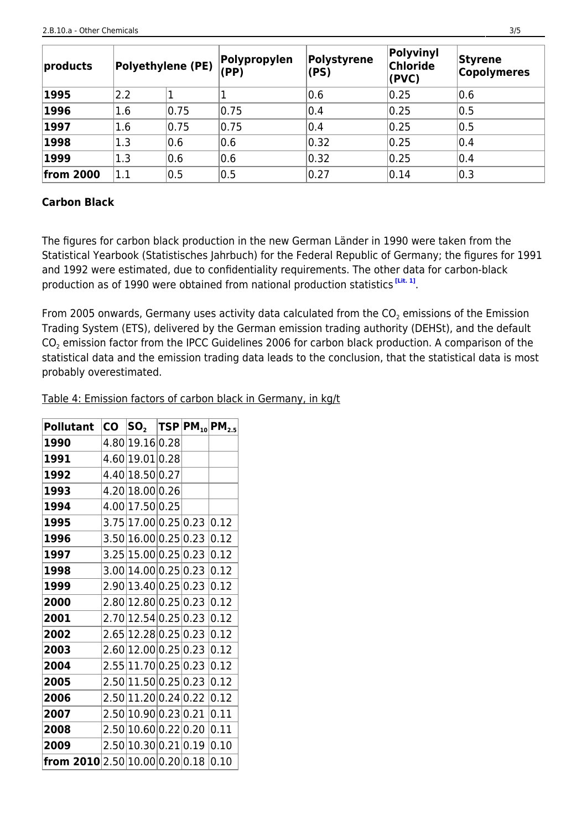| products         |     | <b>Polyethylene (PE)</b> | Polypropylen<br>(PP) | Polystyrene<br>(PS) | Polyvinyl<br>Chloride<br>(PVC) | Styrene<br><b>Copolymeres</b> |
|------------------|-----|--------------------------|----------------------|---------------------|--------------------------------|-------------------------------|
| 1995             | 2.2 |                          |                      | 0.6                 | 0.25                           | 0.6                           |
| 1996             | 1.6 | 0.75                     | 0.75                 | 0.4                 | 0.25                           | 0.5                           |
| 1997             | 1.6 | 0.75                     | 0.75                 | 0.4                 | 0.25                           | 0.5                           |
| 1998             | 1.3 | 0.6                      | 0.6                  | 0.32                | 0.25                           | 0.4                           |
| 1999             | 1.3 | 0.6                      | 0.6                  | 0.32                | 0.25                           | 0.4                           |
| <b>from 2000</b> | 1.1 | 0.5                      | 0.5                  | 0.27                | 0.14                           | 0.3                           |

#### <span id="page-2-0"></span>**Carbon Black**

The figures for carbon black production in the new German Länder in 1990 were taken from the Statistical Yearbook (Statistisches Jahrbuch) for the Federal Republic of Germany; the figures for 1991 and 1992 were estimated, due to confidentiality requirements. The other data for carbon-black production as of 1990 were obtained from national production statistics **[\[Lit. 1\]](#page-4-0)** .

From 2005 onwards, Germany uses activity data calculated from the CO $_2$  emissions of the Emission Trading System (ETS), delivered by the German emission trading authority (DEHSt), and the default  $\mathsf{CO}_2$  emission factor from the IPCC Guidelines 2006 for carbon black production. A comparison of the statistical data and the emission trading data leads to the conclusion, that the statistical data is most probably overestimated.

Table 4: Emission factors of carbon black in Germany, in kg/t

<span id="page-2-1"></span>

| <b>Pollutant</b>                      | <b>CO</b> | $SO_2$  TSP PM <sub>10</sub>  PM <sub>2.5</sub> |  |      |
|---------------------------------------|-----------|-------------------------------------------------|--|------|
| 1990                                  |           | 4.80 19.16 0.28                                 |  |      |
| 1991                                  |           | 4.60 19.01 0.28                                 |  |      |
| 1992                                  |           | 4.40 18.50 0.27                                 |  |      |
| 1993                                  |           | 4.20 18.00 0.26                                 |  |      |
| 1994                                  |           | 4.00 17.50 0.25                                 |  |      |
| 1995                                  |           | 3.75 17.00 0.25 0.23 0.12                       |  |      |
| 1996                                  |           | 3.50 16.00 0.25 0.23                            |  | 0.12 |
| 1997                                  |           | 3.25 15.00 0.25 0.23                            |  | 0.12 |
| 1998                                  |           | 3.00 14.00 0.25 0.23                            |  | 0.12 |
| 1999                                  |           | 2.90 13.40 0.25 0.23                            |  | 0.12 |
| 2000                                  |           | 2.80 12.80 0.25 0.23                            |  | 0.12 |
| 2001                                  |           | 2.70 12.54 0.25 0.23                            |  | 0.12 |
| 2002                                  |           | 2.65 12.28 0.25 0.23                            |  | 0.12 |
| 2003                                  |           | 2.60 12.00 0.25 0.23                            |  | 0.12 |
| 2004                                  |           | 2.55 11.70 0.25 0.23                            |  | 0.12 |
| 2005                                  |           | 2.50 11.50 0.25 0.23                            |  | 0.12 |
| 2006                                  |           | 2.50 11.20 0.24 0.22 0.12                       |  |      |
| 2007                                  |           | 2.50 10.90 0.23 0.21                            |  | 0.11 |
| 2008                                  |           | 2.50 10.60 0.22 0.20                            |  | 0.11 |
| 2009                                  |           | 2.50 10.30 0.21 0.19                            |  | 0.10 |
| <b>from 2010</b> 2.50 10.00 0.20 0.18 |           |                                                 |  | 0.10 |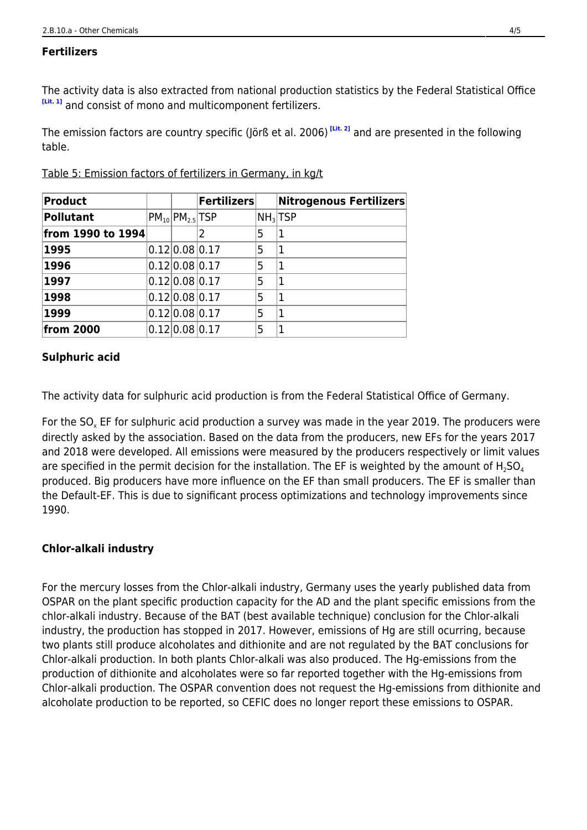#### **Fertilizers**

The activity data is also extracted from national production statistics by the Federal Statistical Office **[\[Lit. 1\]](#page-4-0)** and consist of mono and multicomponent fertilizers.

The emission factors are country specific (Jörß et al. 2006) **[\[Lit. 2\]](#page-4-0)** and are presented in the following table.

| <b>Product</b>    |                         | <b>Fertilizers</b> |   | Nitrogenous Fertilizers |
|-------------------|-------------------------|--------------------|---|-------------------------|
| <b>Pollutant</b>  | $PM_{10}$ $PM_{25}$ TSP |                    |   | NH <sub>3</sub>  TSP    |
| from 1990 to 1994 |                         | 2                  | 5 |                         |
| 1995              | 0.12 0.08 0.17          |                    | 5 | 1                       |
| 1996              | 0.12 0.08 0.17          |                    | 5 | 1                       |
| 1997              | 0.12 0.08 0.17          |                    | 5 | 1                       |
| 1998              | 0.12 0.08 0.17          |                    | 5 | 1                       |
| 1999              | 0.12 0.08 0.17          |                    | 5 | 1                       |
| from 2000         | 0.12 0.08 0.17          |                    | 5 |                         |

Table 5: Emission factors of fertilizers in Germany, in kg/t

#### <span id="page-3-0"></span>**Sulphuric acid**

The activity data for sulphuric acid production is from the Federal Statistical Office of Germany.

For the SO<sub>x</sub> EF for sulphuric acid production a survey was made in the year 2019. The producers were directly asked by the association. Based on the data from the producers, new EFs for the years 2017 and 2018 were developed. All emissions were measured by the producers respectively or limit values are specified in the permit decision for the installation. The EF is weighted by the amount of  $H_2SO_4$ produced. Big producers have more influence on the EF than small producers. The EF is smaller than the Default-EF. This is due to significant process optimizations and technology improvements since 1990.

#### <span id="page-3-1"></span>**Chlor-alkali industry**

For the mercury losses from the Chlor-alkali industry, Germany uses the yearly published data from OSPAR on the plant specific production capacity for the AD and the plant specific emissions from the chlor-alkali industry. Because of the BAT (best available technique) conclusion for the Chlor-alkali industry, the production has stopped in 2017. However, emissions of Hg are still ocurring, because two plants still produce alcoholates and dithionite and are not regulated by the BAT conclusions for Chlor-alkali production. In both plants Chlor-alkali was also produced. The Hg-emissions from the production of dithionite and alcoholates were so far reported together with the Hg-emissions from Chlor-alkali production. The OSPAR convention does not request the Hg-emissions from dithionite and alcoholate production to be reported, so CEFIC does no longer report these emissions to OSPAR.